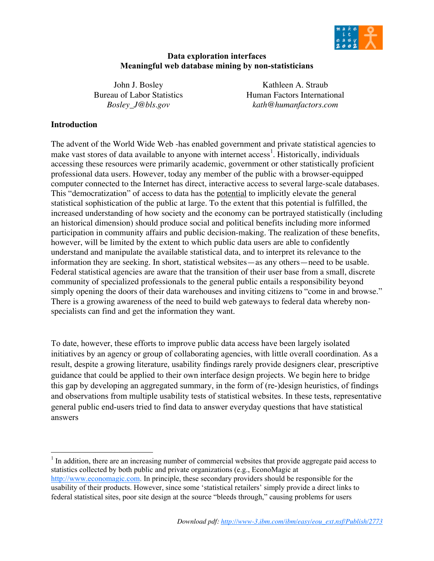

## **Data exploration interfaces Meaningful web database mining by non-statisticians**

John J. Bosley Bureau of Labor Statistics *Bosley\_J@bls.gov*

Kathleen A. Straub Human Factors International *kath@humanfactors.com*

## **Introduction**

The advent of the World Wide Web -has enabled government and private statistical agencies to make vast stores of data available to anyone with internet access<sup>1</sup>. Historically, individuals accessing these resources were primarily academic, government or other statistically proficient professional data users. However, today any member of the public with a browser-equipped computer connected to the Internet has direct, interactive access to several large-scale databases. This "democratization" of access to data has the potential to implicitly elevate the general statistical sophistication of the public at large. To the extent that this potential is fulfilled, the increased understanding of how society and the economy can be portrayed statistically (including an historical dimension) should produce social and political benefits including more informed participation in community affairs and public decision-making. The realization of these benefits, however, will be limited by the extent to which public data users are able to confidently understand and manipulate the available statistical data, and to interpret its relevance to the information they are seeking. In short, statistical websites—as any others—need to be usable. Federal statistical agencies are aware that the transition of their user base from a small, discrete community of specialized professionals to the general public entails a responsibility beyond simply opening the doors of their data warehouses and inviting citizens to "come in and browse." There is a growing awareness of the need to build web gateways to federal data whereby nonspecialists can find and get the information they want.

To date, however, these efforts to improve public data access have been largely isolated initiatives by an agency or group of collaborating agencies, with little overall coordination. As a result, despite a growing literature, usability findings rarely provide designers clear, prescriptive guidance that could be applied to their own interface design projects. We begin here to bridge this gap by developing an aggregated summary, in the form of (re-)design heuristics, of findings and observations from multiple usability tests of statistical websites. In these tests, representative general public end-users tried to find data to answer everyday questions that have statistical answers

<sup>|&</sup>lt;br>|<br>|  $<sup>1</sup>$  In addition, there are an increasing number of commercial websites that provide aggregate paid access to</sup> statistics collected by both public and private organizations (e.g., EconoMagic at http://www.economagic.com. In principle, these secondary providers should be responsible for the usability of their products. However, since some 'statistical retailers' simply provide a direct links to federal statistical sites, poor site design at the source "bleeds through," causing problems for users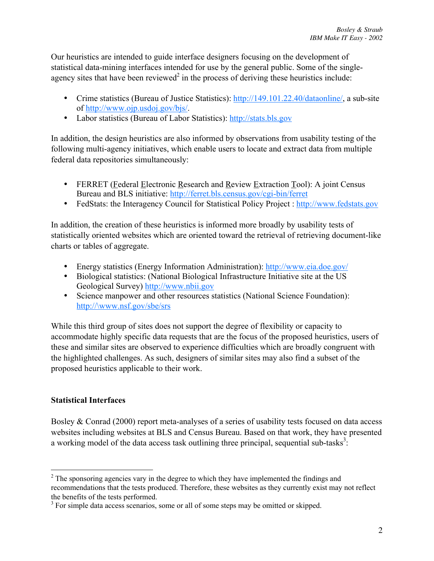Our heuristics are intended to guide interface designers focusing on the development of statistical data-mining interfaces intended for use by the general public. Some of the singleagency sites that have been reviewed<sup>2</sup> in the process of deriving these heuristics include:

Crime statistics (Bureau of Justice Statistics): http://149.101.22.40/dataonline/, a sub-site of http://www.ojp.usdoj.gov/bjs/. Labor statistics (Bureau of Labor Statistics): http://stats.bls.gov

In addition, the design heuristics are also informed by observations from usability testing of the following multi-agency initiatives, which enable users to locate and extract data from multiple federal data repositories simultaneously:

FERRET (Federal Electronic Research and Review Extraction Tool): A joint Census Bureau and BLS initiative: http://ferret.bls.census.gov/cgi-bin/ferret FedStats: the Interagency Council for Statistical Policy Project : http://www.fedstats.gov

In addition, the creation of these heuristics is informed more broadly by usability tests of statistically oriented websites which are oriented toward the retrieval of retrieving document-like charts or tables of aggregate.

Energy statistics (Energy Information Administration): http://www.eia.doe.gov/ Biological statistics: (National Biological Infrastructure Initiative site at the US Geological Survey) http://www.nbii.gov Science manpower and other resources statistics (National Science Foundation): http://\www.nsf.gov/sbe/srs

While this third group of sites does not support the degree of flexibility or capacity to accommodate highly specific data requests that are the focus of the proposed heuristics, users of these and similar sites are observed to experience difficulties which are broadly congruent with the highlighted challenges. As such, designers of similar sites may also find a subset of the proposed heuristics applicable to their work.

# **Statistical Interfaces**

Bosley & Conrad (2000) report meta-analyses of a series of usability tests focused on data access websites including websites at BLS and Census Bureau. Based on that work, they have presented a working model of the data access task outlining three principal, sequential sub-tasks<sup>3</sup>:

 $\frac{1}{2}$  $2^2$  The sponsoring agencies vary in the degree to which they have implemented the findings and recommendations that the tests produced. Therefore, these websites as they currently exist may not reflect the benefits of the tests performed.

 $3$  For simple data access scenarios, some or all of some steps may be omitted or skipped.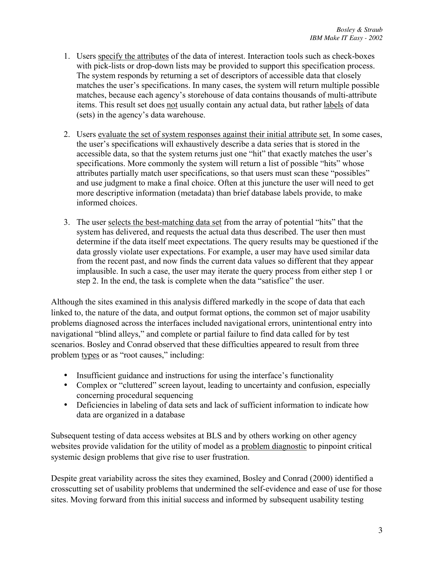- 1. Users specify the attributes of the data of interest. Interaction tools such as check-boxes with pick-lists or drop-down lists may be provided to support this specification process. The system responds by returning a set of descriptors of accessible data that closely matches the user's specifications. In many cases, the system will return multiple possible matches, because each agency's storehouse of data contains thousands of multi-attribute items. This result set does not usually contain any actual data, but rather labels of data (sets) in the agency's data warehouse.
- 2. Users evaluate the set of system responses against their initial attribute set. In some cases, the user's specifications will exhaustively describe a data series that is stored in the accessible data, so that the system returns just one "hit" that exactly matches the user's specifications. More commonly the system will return a list of possible "hits" whose attributes partially match user specifications, so that users must scan these "possibles" and use judgment to make a final choice. Often at this juncture the user will need to get more descriptive information (metadata) than brief database labels provide, to make informed choices.
- 3. The user selects the best-matching data set from the array of potential "hits" that the system has delivered, and requests the actual data thus described. The user then must determine if the data itself meet expectations. The query results may be questioned if the data grossly violate user expectations. For example, a user may have used similar data from the recent past, and now finds the current data values so different that they appear implausible. In such a case, the user may iterate the query process from either step 1 or step 2. In the end, the task is complete when the data "satisfice" the user.

Although the sites examined in this analysis differed markedly in the scope of data that each linked to, the nature of the data, and output format options, the common set of major usability problems diagnosed across the interfaces included navigational errors, unintentional entry into navigational "blind alleys," and complete or partial failure to find data called for by test scenarios. Bosley and Conrad observed that these difficulties appeared to result from three problem types or as "root causes," including:

Insufficient guidance and instructions for using the interface's functionality Complex or "cluttered" screen layout, leading to uncertainty and confusion, especially concerning procedural sequencing Deficiencies in labeling of data sets and lack of sufficient information to indicate how

data are organized in a database

Subsequent testing of data access websites at BLS and by others working on other agency websites provide validation for the utility of model as a problem diagnostic to pinpoint critical systemic design problems that give rise to user frustration.

Despite great variability across the sites they examined, Bosley and Conrad (2000) identified a crosscutting set of usability problems that undermined the self-evidence and ease of use for those sites. Moving forward from this initial success and informed by subsequent usability testing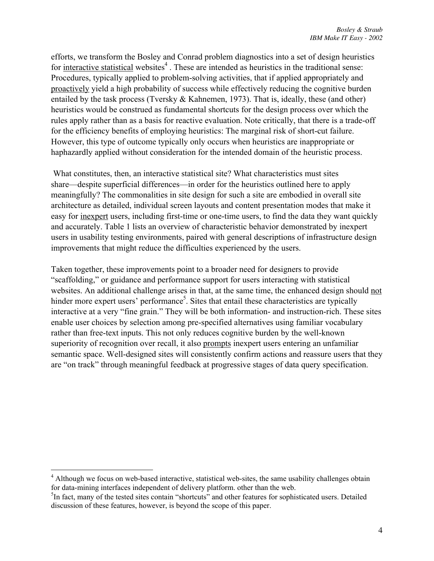efforts, we transform the Bosley and Conrad problem diagnostics into a set of design heuristics for interactive statistical websites<sup>4</sup>. These are intended as heuristics in the traditional sense: Procedures, typically applied to problem-solving activities, that if applied appropriately and proactively yield a high probability of success while effectively reducing the cognitive burden entailed by the task process (Tversky & Kahnemen, 1973). That is, ideally, these (and other) heuristics would be construed as fundamental shortcuts for the design process over which the rules apply rather than as a basis for reactive evaluation. Note critically, that there is a trade-off for the efficiency benefits of employing heuristics: The marginal risk of short-cut failure. However, this type of outcome typically only occurs when heuristics are inappropriate or haphazardly applied without consideration for the intended domain of the heuristic process.

 What constitutes, then, an interactive statistical site? What characteristics must sites share—despite superficial differences—in order for the heuristics outlined here to apply meaningfully? The commonalities in site design for such a site are embodied in overall site architecture as detailed, individual screen layouts and content presentation modes that make it easy for inexpert users, including first-time or one-time users, to find the data they want quickly and accurately. Table 1 lists an overview of characteristic behavior demonstrated by inexpert users in usability testing environments, paired with general descriptions of infrastructure design improvements that might reduce the difficulties experienced by the users.

Taken together, these improvements point to a broader need for designers to provide "scaffolding," or guidance and performance support for users interacting with statistical websites. An additional challenge arises in that, at the same time, the enhanced design should not hinder more expert users' performance<sup>5</sup>. Sites that entail these characteristics are typically interactive at a very "fine grain." They will be both information- and instruction-rich. These sites enable user choices by selection among pre-specified alternatives using familiar vocabulary rather than free-text inputs. This not only reduces cognitive burden by the well-known superiority of recognition over recall, it also prompts inexpert users entering an unfamiliar semantic space. Well-designed sites will consistently confirm actions and reassure users that they are "on track" through meaningful feedback at progressive stages of data query specification.

 $\frac{1}{4}$  $4$  Although we focus on web-based interactive, statistical web-sites, the same usability challenges obtain for data-mining interfaces independent of delivery platform. other than the web.

<sup>&</sup>lt;sup>5</sup>In fact, many of the tested sites contain "shortcuts" and other features for sophisticated users. Detailed discussion of these features, however, is beyond the scope of this paper.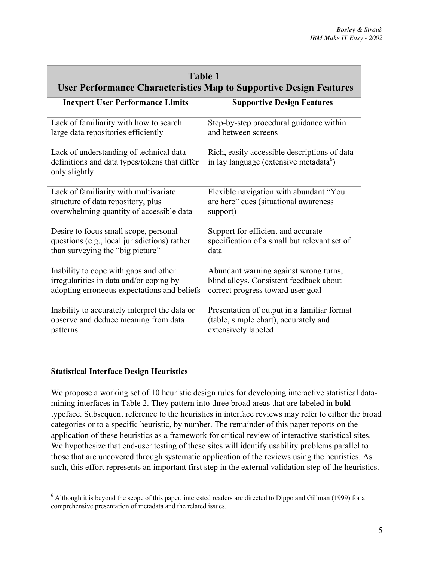| <b>Table 1</b><br><b>User Performance Characteristics Map to Supportive Design Features</b>               |                                                                                                    |  |  |
|-----------------------------------------------------------------------------------------------------------|----------------------------------------------------------------------------------------------------|--|--|
| <b>Inexpert User Performance Limits</b>                                                                   | <b>Supportive Design Features</b>                                                                  |  |  |
| Lack of familiarity with how to search                                                                    | Step-by-step procedural guidance within                                                            |  |  |
| large data repositories efficiently                                                                       | and between screens                                                                                |  |  |
| Lack of understanding of technical data<br>definitions and data types/tokens that differ<br>only slightly | Rich, easily accessible descriptions of data<br>in lay language (extensive metadata <sup>6</sup> ) |  |  |
| Lack of familiarity with multivariate                                                                     | Flexible navigation with abundant "You                                                             |  |  |
| structure of data repository, plus                                                                        | are here" cues (situational awareness                                                              |  |  |
| overwhelming quantity of accessible data                                                                  | support)                                                                                           |  |  |
| Desire to focus small scope, personal                                                                     | Support for efficient and accurate                                                                 |  |  |
| questions (e.g., local jurisdictions) rather                                                              | specification of a small but relevant set of                                                       |  |  |
| than surveying the "big picture"                                                                          | data                                                                                               |  |  |
| Inability to cope with gaps and other                                                                     | Abundant warning against wrong turns,                                                              |  |  |
| irregularities in data and/or coping by                                                                   | blind alleys. Consistent feedback about                                                            |  |  |
| adopting erroneous expectations and beliefs                                                               | correct progress toward user goal                                                                  |  |  |
| Inability to accurately interpret the data or                                                             | Presentation of output in a familiar format                                                        |  |  |
| observe and deduce meaning from data                                                                      | (table, simple chart), accurately and                                                              |  |  |
| patterns                                                                                                  | extensively labeled                                                                                |  |  |

# **Statistical Interface Design Heuristics**

We propose a working set of 10 heuristic design rules for developing interactive statistical datamining interfaces in Table 2. They pattern into three broad areas that are labeled in **bold** typeface. Subsequent reference to the heuristics in interface reviews may refer to either the broad categories or to a specific heuristic, by number. The remainder of this paper reports on the application of these heuristics as a framework for critical review of interactive statistical sites. We hypothesize that end-user testing of these sites will identify usability problems parallel to those that are uncovered through systematic application of the reviews using the heuristics. As such, this effort represents an important first step in the external validation step of the heuristics.

 $\frac{1}{6}$  $<sup>6</sup>$  Although it is beyond the scope of this paper, interested readers are directed to Dippo and Gillman (1999) for a</sup> comprehensive presentation of metadata and the related issues.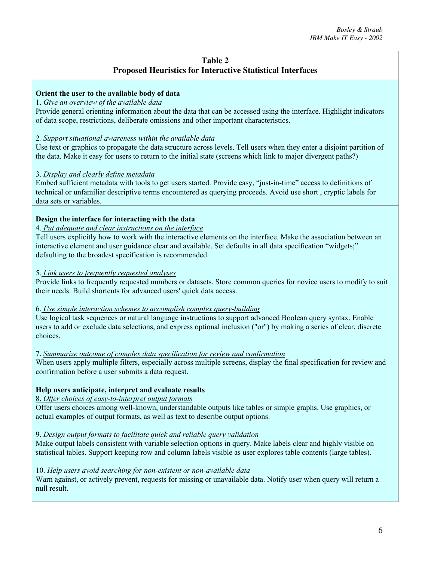# **Table 2 Proposed Heuristics for Interactive Statistical Interfaces**

## **Orient the user to the available body of data**

## 1. *Give an overview of the available data*

Provide general orienting information about the data that can be accessed using the interface. Highlight indicators of data scope, restrictions, deliberate omissions and other important characteristics.

#### 2*. Support situational awareness within the available data*

Use text or graphics to propagate the data structure across levels. Tell users when they enter a disjoint partition of the data. Make it easy for users to return to the initial state (screens which link to major divergent paths?)

### 3. *Display and clearly define metadata*

Embed sufficient metadata with tools to get users started. Provide easy, "just-in-time" access to definitions of technical or unfamiliar descriptive terms encountered as querying proceeds. Avoid use short , cryptic labels for data sets or variables.

### **Design the interface for interacting with the data**

#### 4. *Put adequate and clear instructions on the interface*

Tell users explicitly how to work with the interactive elements on the interface. Make the association between an interactive element and user guidance clear and available. Set defaults in all data specification "widgets;" defaulting to the broadest specification is recommended.

#### 5. *Link users to frequently requested analyses*

Provide links to frequently requested numbers or datasets. Store common queries for novice users to modify to suit their needs. Build shortcuts for advanced users' quick data access.

#### 6. *Use simple interaction schemes to accomplish complex query-building*

Use logical task sequences or natural language instructions to support advanced Boolean query syntax. Enable users to add or exclude data selections, and express optional inclusion ("or") by making a series of clear, discrete choices.

#### 7. *Summarize outcome of complex data specification for review and confirmation*

When users apply multiple filters, especially across multiple screens, display the final specification for review and confirmation before a user submits a data request.

### **Help users anticipate, interpret and evaluate results**

### 8. *Offer choices of easy-to-interpret output formats*

Offer users choices among well-known, understandable outputs like tables or simple graphs. Use graphics, or actual examples of output formats, as well as text to describe output options.

### 9. *Design output formats to facilitate quick and reliable query validation*

Make output labels consistent with variable selection options in query. Make labels clear and highly visible on statistical tables. Support keeping row and column labels visible as user explores table contents (large tables).

#### 10. *Help users avoid searching for non-existent or non-available data*

Warn against, or actively prevent, requests for missing or unavailable data. Notify user when query will return a null result.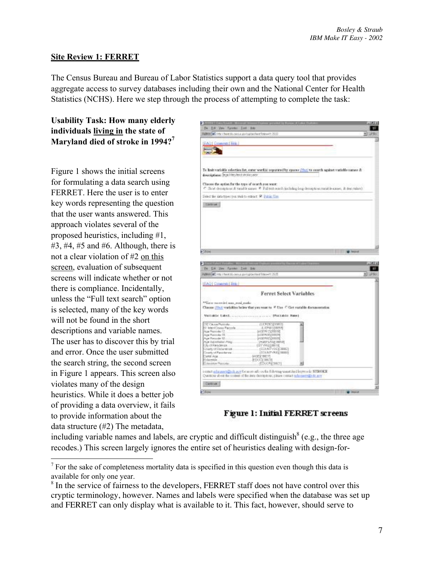## **Site Review 1: FERRET**

The Census Bureau and Bureau of Labor Statistics support a data query tool that provides aggregate access to survey databases including their own and the National Center for Health Statistics (NCHS). Here we step through the process of attempting to complete the task:

**Usability Task: How many elderly individuals living in the state of** Maryland died of stroke in 1994?<sup>7</sup>

Figure 1 shows the initial screens for formulating a data search using FERRET. Here the user is to enter key words representing the question that the user wants answered. This approach violates several of the proposed heuristics, including #1,  $#3, #4, #5$  and  $#6$ . Although, there is not a clear violation of #2 on this screen, evaluation of subsequent screens will indicate whether or not there is compliance. Incidentally, unless the "Full text search" option is selected, many of the key words will not be found in the short descriptions and variable names. The user has to discover this by trial and error. Once the user submitted the search string, the second screen in Figure 1 appears. This screen also violates many of the design heuristics. While it does a better job of providing a data overview, it fails to provide information about the data structure (#2) The metadata,



**Figure 1: Initial FERRET screens** 

including variable names and labels, are cryptic and difficult distinguish  $8$  (e.g., the three age recodes.) This screen largely ignores the entire set of heuristics dealing with design-for-

7  $<sup>7</sup>$  For the sake of completeness mortality data is specified in this question even though this data is</sup> available for only one year.

<sup>&</sup>lt;sup>8</sup> In the service of fairness to the developers, FERRET staff does not have control over this cryptic terminology, however. Names and labels were specified when the database was set up and FERRET can only display what is available to it. This fact, however, should serve to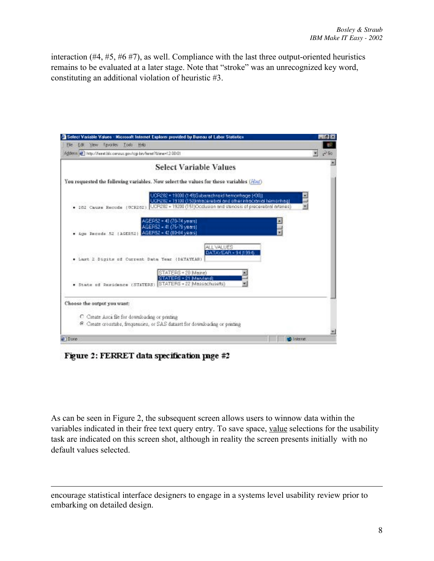interaction (#4, #5, #6 #7), as well. Compliance with the last three output-oriented heuristics remains to be evaluated at a later stage. Note that "stroke" was an unrecognized key word, constituting an additional violation of heuristic #3.



Figure 2: FERRET data specification page #2

 $\overline{a}$ 

As can be seen in Figure 2, the subsequent screen allows users to winnow data within the variables indicated in their free text query entry. To save space, value selections for the usability task are indicated on this screen shot, although in reality the screen presents initially with no default values selected.

encourage statistical interface designers to engage in a systems level usability review prior to embarking on detailed design.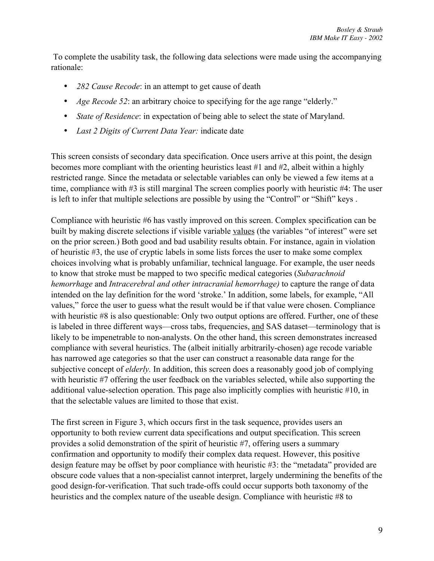To complete the usability task, the following data selections were made using the accompanying rationale:

*282 Cause Recode*: in an attempt to get cause of death *Age Recode 52*: an arbitrary choice to specifying for the age range "elderly." *State of Residence*: in expectation of being able to select the state of Maryland. *Last 2 Digits of Current Data Year:* indicate date

This screen consists of secondary data specification. Once users arrive at this point, the design becomes more compliant with the orienting heuristics least #1 and #2, albeit within a highly restricted range. Since the metadata or selectable variables can only be viewed a few items at a time, compliance with #3 is still marginal The screen complies poorly with heuristic #4: The user is left to infer that multiple selections are possible by using the "Control" or "Shift" keys .

Compliance with heuristic #6 has vastly improved on this screen. Complex specification can be built by making discrete selections if visible variable values (the variables "of interest" were set on the prior screen.) Both good and bad usability results obtain. For instance, again in violation of heuristic #3, the use of cryptic labels in some lists forces the user to make some complex choices involving what is probably unfamiliar, technical language. For example, the user needs to know that stroke must be mapped to two specific medical categories (*Subarachnoid hemorrhage* and *Intracerebral and other intracranial hemorrhage)* to capture the range of data intended on the lay definition for the word 'stroke.' In addition, some labels, for example, "All values," force the user to guess what the result would be if that value were chosen. Compliance with heuristic #8 is also questionable: Only two output options are offered. Further, one of these is labeled in three different ways—cross tabs, frequencies, and SAS dataset—terminology that is likely to be impenetrable to non-analysts. On the other hand, this screen demonstrates increased compliance with several heuristics. The (albeit initially arbitrarily-chosen) age recode variable has narrowed age categories so that the user can construct a reasonable data range for the subjective concept of *elderly.* In addition, this screen does a reasonably good job of complying with heuristic #7 offering the user feedback on the variables selected, while also supporting the additional value-selection operation. This page also implicitly complies with heuristic #10, in that the selectable values are limited to those that exist.

The first screen in Figure 3, which occurs first in the task sequence, provides users an opportunity to both review current data specifications and output specification. This screen provides a solid demonstration of the spirit of heuristic #7, offering users a summary confirmation and opportunity to modify their complex data request. However, this positive design feature may be offset by poor compliance with heuristic #3: the "metadata" provided are obscure code values that a non-specialist cannot interpret, largely undermining the benefits of the good design-for-verification. That such trade-offs could occur supports both taxonomy of the heuristics and the complex nature of the useable design. Compliance with heuristic #8 to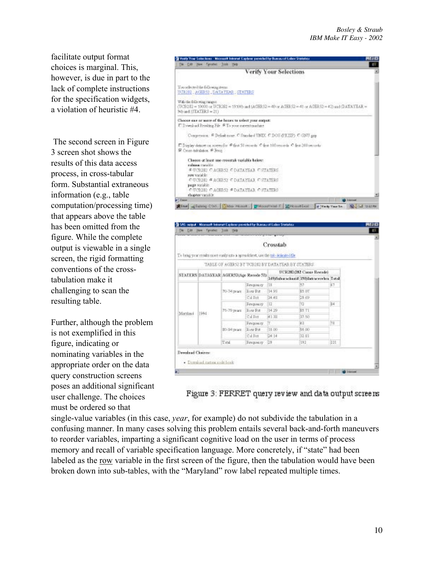facilitate output format choices is marginal. This, however, is due in part to the lack of complete instructions for the specification widgets, a violation of heuristic #4.

 The second screen in Figure 3 screen shot shows the results of this data access process, in cross-tabular form. Substantial extraneous information (e.g., table computation/processing time) that appears above the table has been omitted from the figure. While the complete output is viewable in a single screen, the rigid formatting conventions of the crosstabulation make it challenging to scan the resulting table.

Further, although the problem is not exemplified in this figure, indicating or nominating variables in the appropriate order on the data query construction screens poses an additional significant user challenge. The choices must be ordered so that



|         |                                        |             |                 | To bring your results more easily into a spreadchest, use the tab delicated the<br>TABLE OF AGERS2 BY TABLED BY DATA TEAR BY STATERS. |                          |     |
|---------|----------------------------------------|-------------|-----------------|---------------------------------------------------------------------------------------------------------------------------------------|--------------------------|-----|
|         | STATERS DATAYEAR AGER520Age Recode 53) |             |                 |                                                                                                                                       | DUR202(282 Caugo Recode) |     |
|         |                                        |             | <b>Frequesy</b> | 1493 sharedoold 150 between by Total<br>ÌШ                                                                                            | 53                       | 87  |
|         |                                        | 70-74 ware  | Row Fit         | 14.91                                                                                                                                 | TO ES                    |     |
|         |                                        |             | Cill Pet        | 34.45                                                                                                                                 | 25.69                    |     |
|         | 1944                                   | 75-79 years | <b>Угорназу</b> | 12                                                                                                                                    | ha                       | 34  |
| Manlaui |                                        |             | Row Fit         | 14.29                                                                                                                                 | <b>SS 71</b>             |     |
|         |                                        |             | Cal Fiet        | <b>H132</b>                                                                                                                           | 37.50                    |     |
|         |                                        | 30-34 ywars | <b>Frequeny</b> | h.                                                                                                                                    | k3                       | ш   |
|         |                                        |             | Row Fit         | 11.00                                                                                                                                 | \$1.00                   |     |
|         |                                        |             | Cal Pet         | D4.14                                                                                                                                 | 32.81                    |     |
|         |                                        | Tital       | Finguistry 29   |                                                                                                                                       | 192                      | 221 |



single-value variables (in this case, *year*, for example) do not subdivide the tabulation in a confusing manner. In many cases solving this problem entails several back-and-forth maneuvers to reorder variables, imparting a significant cognitive load on the user in terms of process memory and recall of variable specification language. More concretely, if "state" had been labeled as the row variable in the first screen of the figure, then the tabulation would have been broken down into sub-tables, with the "Maryland" row label repeated multiple times.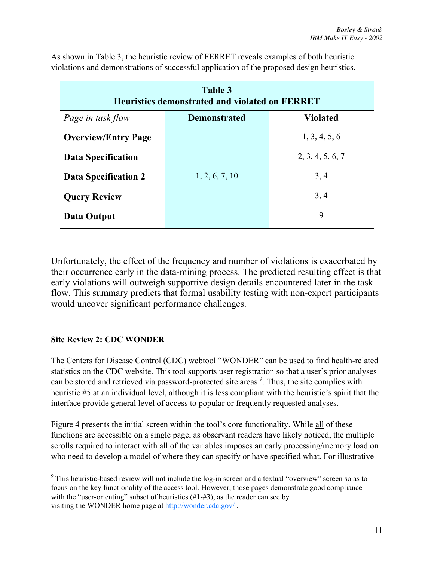| Table 3<br><b>Heuristics demonstrated and violated on FERRET</b> |                     |                  |  |
|------------------------------------------------------------------|---------------------|------------------|--|
| Page in task flow                                                | <b>Demonstrated</b> | <b>Violated</b>  |  |
| <b>Overview/Entry Page</b>                                       |                     | 1, 3, 4, 5, 6    |  |
| <b>Data Specification</b>                                        |                     | 2, 3, 4, 5, 6, 7 |  |
| <b>Data Specification 2</b>                                      | 1, 2, 6, 7, 10      | 3, 4             |  |
| <b>Query Review</b>                                              |                     | 3, 4             |  |
| Data Output                                                      |                     | 9                |  |

As shown in Table 3, the heuristic review of FERRET reveals examples of both heuristic violations and demonstrations of successful application of the proposed design heuristics.

Unfortunately, the effect of the frequency and number of violations is exacerbated by their occurrence early in the data-mining process. The predicted resulting effect is that early violations will outweigh supportive design details encountered later in the task flow. This summary predicts that formal usability testing with non-expert participants would uncover significant performance challenges.

# **Site Review 2: CDC WONDER**

The Centers for Disease Control (CDC) webtool "WONDER" can be used to find health-related statistics on the CDC website. This tool supports user registration so that a user's prior analyses can be stored and retrieved via password-protected site areas <sup>9</sup>. Thus, the site complies with heuristic #5 at an individual level, although it is less compliant with the heuristic's spirit that the interface provide general level of access to popular or frequently requested analyses.

Figure 4 presents the initial screen within the tool's core functionality. While all of these functions are accessible on a single page, as observant readers have likely noticed, the multiple scrolls required to interact with all of the variables imposes an early processing/memory load on who need to develop a model of where they can specify or have specified what. For illustrative

<sup>-&</sup>lt;br>9 <sup>9</sup> This heuristic-based review will not include the log-in screen and a textual "overview" screen so as to focus on the key functionality of the access tool. However, those pages demonstrate good compliance with the "user-orienting" subset of heuristics  $(\#1-\#3)$ , as the reader can see by visiting the WONDER home page at http://wonder.cdc.gov/ .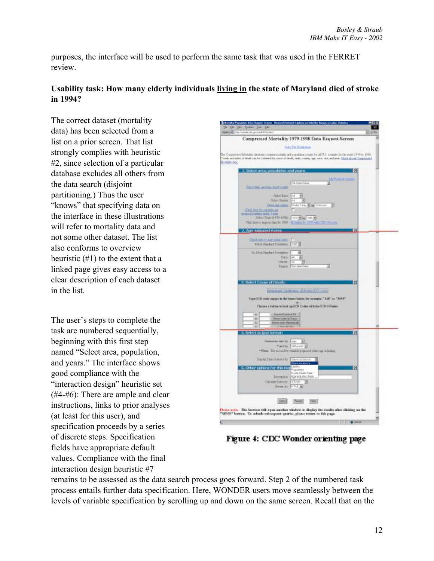purposes, the interface will be used to perform the same task that was used in the FERRET review.

# **Usability task: How many elderly individuals living in the state of Maryland died of stroke in 1994?**

The correct dataset (mortality data) has been selected from a list on a prior screen. That list strongly complies with heuristic #2, since selection of a particular database excludes all others from the data search (disjoint partitioning.) Thus the user "knows" that specifying data on the interface in these illustrations will refer to mortality data and not some other dataset. The list also conforms to overview heuristic (#1) to the extent that a linked page gives easy access to a clear description of each dataset in the list.

The user's steps to complete the task are numbered sequentially, beginning with this first step named "Select area, population, and years." The interface shows good compliance with the "interaction design" heuristic set (#4-#6): There are ample and clear instructions, links to prior analyses (at least for this user), and specification proceeds by a series of discrete steps. Specification fields have appropriate default values. Compliance with the final interaction design heuristic #7



Figure 4: CDC Wonder orienting page

remains to be assessed as the data search process goes forward. Step 2 of the numbered task process entails further data specification. Here, WONDER users move seamlessly between the levels of variable specification by scrolling up and down on the same screen. Recall that on the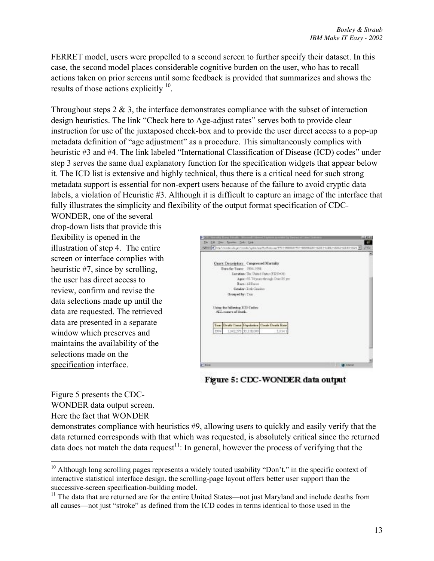FERRET model, users were propelled to a second screen to further specify their dataset. In this case, the second model places considerable cognitive burden on the user, who has to recall actions taken on prior screens until some feedback is provided that summarizes and shows the results of those actions explicitly  $10$ .

Throughout steps  $2 \& 3$ , the interface demonstrates compliance with the subset of interaction design heuristics. The link "Check here to Age-adjust rates" serves both to provide clear instruction for use of the juxtaposed check-box and to provide the user direct access to a pop-up metadata definition of "age adjustment" as a procedure. This simultaneously complies with heuristic #3 and #4. The link labeled "International Classification of Disease (ICD) codes" under step 3 serves the same dual explanatory function for the specification widgets that appear below it. The ICD list is extensive and highly technical, thus there is a critical need for such strong metadata support is essential for non-expert users because of the failure to avoid cryptic data labels, a violation of Heuristic #3. Although it is difficult to capture an image of the interface that fully illustrates the simplicity and flexibility of the output format specification of CDC-

WONDER, one of the several drop-down lists that provide this flexibility is opened in the illustration of step 4. The entire screen or interface complies with heuristic #7, since by scrolling, the user has direct access to review, confirm and revise the data selections made up until the data are requested. The retrieved data are presented in a separate window which preserves and maintains the availability of the selections made on the specification interface.



Figure 5: CDC-WONDER data output

Figure 5 presents the CDC-WONDER data output screen. Here the fact that WONDER

demonstrates compliance with heuristics #9, allowing users to quickly and easily verify that the data returned corresponds with that which was requested, is absolutely critical since the returned data does not match the data request<sup>11</sup>: In general, however the process of verifying that the

<sup>&</sup>lt;sup>10</sup> Although long scrolling pages represents a widely touted usability "Don't," in the specific context of interactive statistical interface design, the scrolling-page layout offers better user support than the successive-screen specification-building model.

<sup>&</sup>lt;sup>11</sup> The data that are returned are for the entire United States—not just Maryland and include deaths from all causes—not just "stroke" as defined from the ICD codes in terms identical to those used in the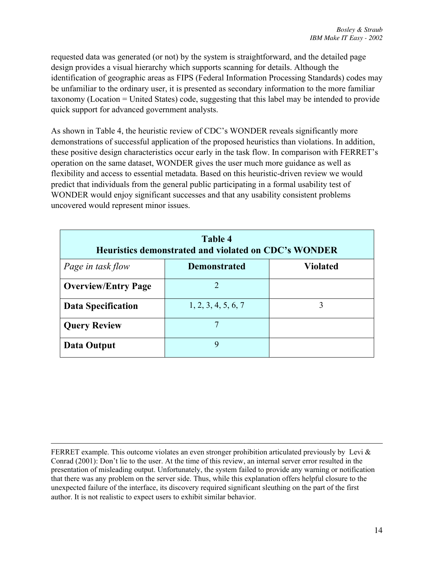requested data was generated (or not) by the system is straightforward, and the detailed page design provides a visual hierarchy which supports scanning for details. Although the identification of geographic areas as FIPS (Federal Information Processing Standards) codes may be unfamiliar to the ordinary user, it is presented as secondary information to the more familiar taxonomy (Location = United States) code, suggesting that this label may be intended to provide quick support for advanced government analysts.

As shown in Table 4, the heuristic review of CDC's WONDER reveals significantly more demonstrations of successful application of the proposed heuristics than violations. In addition, these positive design characteristics occur early in the task flow. In comparison with FERRET's operation on the same dataset, WONDER gives the user much more guidance as well as flexibility and access to essential metadata. Based on this heuristic-driven review we would predict that individuals from the general public participating in a formal usability test of WONDER would enjoy significant successes and that any usability consistent problems uncovered would represent minor issues.

| Table 4<br>Heuristics demonstrated and violated on CDC's WONDER |                     |                 |  |
|-----------------------------------------------------------------|---------------------|-----------------|--|
| Page in task flow                                               | <b>Demonstrated</b> | <b>Violated</b> |  |
| <b>Overview/Entry Page</b>                                      | $\mathfrak{D}$      |                 |  |
| <b>Data Specification</b>                                       | 1, 2, 3, 4, 5, 6, 7 |                 |  |
| <b>Query Review</b>                                             |                     |                 |  |
| Data Output                                                     | 9                   |                 |  |

 $\overline{a}$ FERRET example. This outcome violates an even stronger prohibition articulated previously by Levi & Conrad (2001): Don't lie to the user. At the time of this review, an internal server error resulted in the presentation of misleading output. Unfortunately, the system failed to provide any warning or notification that there was any problem on the server side. Thus, while this explanation offers helpful closure to the unexpected failure of the interface, its discovery required significant sleuthing on the part of the first author. It is not realistic to expect users to exhibit similar behavior.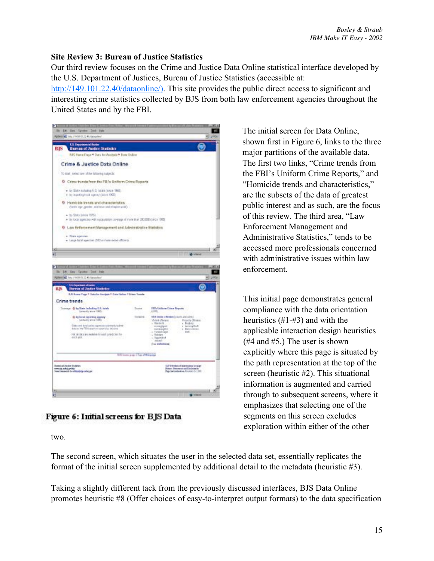# **Site Review 3: Bureau of Justice Statistics**

Our third review focuses on the Crime and Justice Data Online statistical interface developed by the U.S. Department of Justices, Bureau of Justice Statistics (accessible at:

http://149.101.22.40/dataonline/). This site provides the public direct access to significant and interesting crime statistics collected by BJS from both law enforcement agencies throughout the United States and by the FBI.



Figure 6: Initial screens for BJS Data

The initial screen for Data Online, shown first in Figure 6, links to the three major partitions of the available data. The first two links, "Crime trends from the FBI's Uniform Crime Reports," and "Homicide trends and characteristics," are the subsets of the data of greatest public interest and as such, are the focus of this review. The third area, "Law Enforcement Management and Administrative Statistics," tends to be accessed more professionals concerned with administrative issues within law enforcement.

This initial page demonstrates general compliance with the data orientation heuristics (#1-#3) and with the applicable interaction design heuristics (#4 and #5.) The user is shown explicitly where this page is situated by the path representation at the top of the screen (heuristic #2). This situational information is augmented and carried through to subsequent screens, where it emphasizes that selecting one of the segments on this screen excludes exploration within either of the other

two.

The second screen, which situates the user in the selected data set, essentially replicates the format of the initial screen supplemented by additional detail to the metadata (heuristic #3).

Taking a slightly different tack from the previously discussed interfaces, BJS Data Online promotes heuristic #8 (Offer choices of easy-to-interpret output formats) to the data specification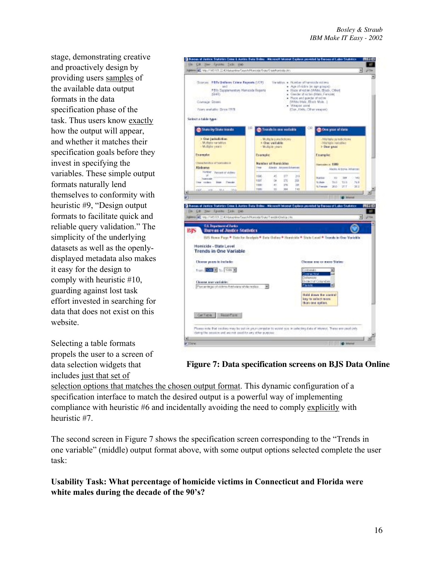stage, demonstrating creative and proactively design by providing users samples of the available data output formats in the data specification phase of the task. Thus users know exactly how the output will appear, and whether it matches their specification goals before they invest in specifying the variables. These simple output formats naturally lend themselves to conformity with heuristic #9, "Design output formats to facilitate quick and reliable query validation." The simplicity of the underlying datasets as well as the openlydisplayed metadata also makes it easy for the design to comply with heuristic #10, guarding against lost task effort invested in searching for data that does not exist on this website.

Selecting a table formats propels the user to a screen of data selection widgets that includes just that set of



**Figure 7: Data specification screens on BJS Data Online**

selection options that matches the chosen output format. This dynamic configuration of a specification interface to match the desired output is a powerful way of implementing compliance with heuristic #6 and incidentally avoiding the need to comply explicitly with heuristic #7.

The second screen in Figure 7 shows the specification screen corresponding to the "Trends in one variable" (middle) output format above, with some output options selected complete the user task:

**Usability Task: What percentage of homicide victims in Connecticut and Florida were white males during the decade of the 90's?**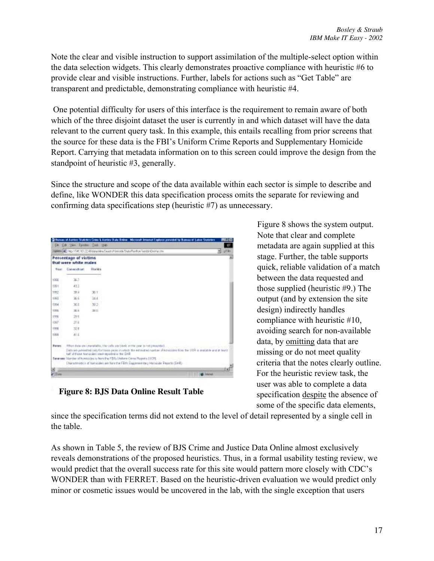Note the clear and visible instruction to support assimilation of the multiple-select option within the data selection widgets. This clearly demonstrates proactive compliance with heuristic #6 to provide clear and visible instructions. Further, labels for actions such as "Get Table" are transparent and predictable, demonstrating compliance with heuristic #4.

 One potential difficulty for users of this interface is the requirement to remain aware of both which of the three disjoint dataset the user is currently in and which dataset will have the data relevant to the current query task. In this example, this entails recalling from prior screens that the source for these data is the FBI's Uniform Crime Reports and Supplementary Homicide Report. Carrying that metadata information on to this screen could improve the design from the standpoint of heuristic #3, generally.

Since the structure and scope of the data available within each sector is simple to describe and define, like WONDER this data specification process omits the separate for reviewing and confirming data specifications step (heuristic #7) as unnecessary.

|                        |                        | Mens & Hgs VI At 18122 All detection Feasty Hostings Fluid fund on Tender Chalifornia                                                                                                                                                                           | $-22$<br>۰l       |
|------------------------|------------------------|-----------------------------------------------------------------------------------------------------------------------------------------------------------------------------------------------------------------------------------------------------------------|-------------------|
|                        | Percentage of victims  |                                                                                                                                                                                                                                                                 |                   |
|                        | that were white males: |                                                                                                                                                                                                                                                                 |                   |
| Water:                 | Connection             | <b>Horida</b>                                                                                                                                                                                                                                                   |                   |
| 1000                   | 367                    |                                                                                                                                                                                                                                                                 |                   |
| 1991                   | 43.3                   |                                                                                                                                                                                                                                                                 |                   |
| 1932                   | 28.4                   | 36.1                                                                                                                                                                                                                                                            |                   |
| 1201                   | 36.6                   | 248                                                                                                                                                                                                                                                             |                   |
| 1204                   | 361                    | 39.2                                                                                                                                                                                                                                                            |                   |
| 120%                   | 30.8                   | 26.01                                                                                                                                                                                                                                                           |                   |
| 1998                   | 293                    |                                                                                                                                                                                                                                                                 |                   |
| 1007                   | 278                    |                                                                                                                                                                                                                                                                 |                   |
| 1918                   | 32.8                   |                                                                                                                                                                                                                                                                 |                   |
| 1006                   | 41.6                   |                                                                                                                                                                                                                                                                 |                   |
| <b>Burger</b><br>3 A S |                        | lither data an unaraliable, the cells are blank of the year is not presented.<br>Data set-peloaited cab for these years in which the estimated number of homizides from the UDF is available and at least<br>liat of these forminies yest reported in the 23-8. |                   |
|                        |                        | Salarsan: Norday of homisides by born the PEPs Uniform Crime Regards JUCPE.<br>Characteristics of turnicales are flow the FBRI Engineeringly Homicale Prescht (SHR).                                                                                            |                   |
| ×                      |                        |                                                                                                                                                                                                                                                                 | ٠.                |
| or i Einna             |                        |                                                                                                                                                                                                                                                                 | <b>B</b> Internet |

**Figure 8: BJS Data Online Result Table**

Figure 8 shows the system output. Note that clear and complete metadata are again supplied at this stage. Further, the table supports quick, reliable validation of a match between the data requested and those supplied (heuristic #9.) The output (and by extension the site design) indirectly handles compliance with heuristic #10, avoiding search for non-available data, by omitting data that are missing or do not meet quality criteria that the notes clearly outline. For the heuristic review task, the user was able to complete a data specification despite the absence of some of the specific data elements,

since the specification terms did not extend to the level of detail represented by a single cell in the table.

As shown in Table 5, the review of BJS Crime and Justice Data Online almost exclusively reveals demonstrations of the proposed heuristics. Thus, in a formal usability testing review, we would predict that the overall success rate for this site would pattern more closely with CDC's WONDER than with FERRET. Based on the heuristic-driven evaluation we would predict only minor or cosmetic issues would be uncovered in the lab, with the single exception that users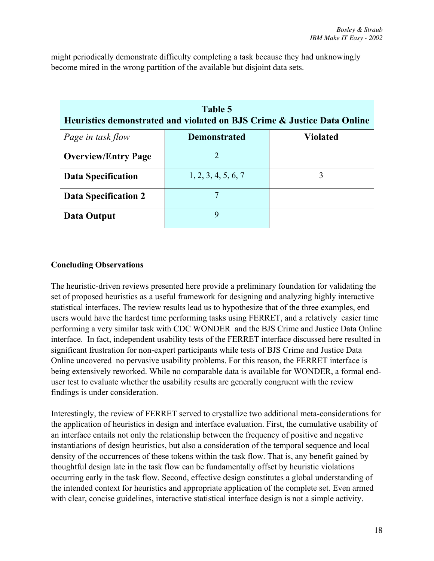| Table 5<br>Heuristics demonstrated and violated on BJS Crime & Justice Data Online |                     |                 |  |
|------------------------------------------------------------------------------------|---------------------|-----------------|--|
| Page in task flow                                                                  | <b>Demonstrated</b> | <b>Violated</b> |  |
| <b>Overview/Entry Page</b>                                                         | 2                   |                 |  |
| <b>Data Specification</b>                                                          | 1, 2, 3, 4, 5, 6, 7 | 3               |  |
| Data Specification 2                                                               |                     |                 |  |
| Data Output                                                                        | 9                   |                 |  |

might periodically demonstrate difficulty completing a task because they had unknowingly become mired in the wrong partition of the available but disjoint data sets.

# **Concluding Observations**

The heuristic-driven reviews presented here provide a preliminary foundation for validating the set of proposed heuristics as a useful framework for designing and analyzing highly interactive statistical interfaces. The review results lead us to hypothesize that of the three examples, end users would have the hardest time performing tasks using FERRET, and a relatively easier time performing a very similar task with CDC WONDER and the BJS Crime and Justice Data Online interface. In fact, independent usability tests of the FERRET interface discussed here resulted in significant frustration for non-expert participants while tests of BJS Crime and Justice Data Online uncovered no pervasive usability problems. For this reason, the FERRET interface is being extensively reworked. While no comparable data is available for WONDER, a formal enduser test to evaluate whether the usability results are generally congruent with the review findings is under consideration.

Interestingly, the review of FERRET served to crystallize two additional meta-considerations for the application of heuristics in design and interface evaluation. First, the cumulative usability of an interface entails not only the relationship between the frequency of positive and negative instantiations of design heuristics, but also a consideration of the temporal sequence and local density of the occurrences of these tokens within the task flow. That is, any benefit gained by thoughtful design late in the task flow can be fundamentally offset by heuristic violations occurring early in the task flow. Second, effective design constitutes a global understanding of the intended context for heuristics and appropriate application of the complete set. Even armed with clear, concise guidelines, interactive statistical interface design is not a simple activity.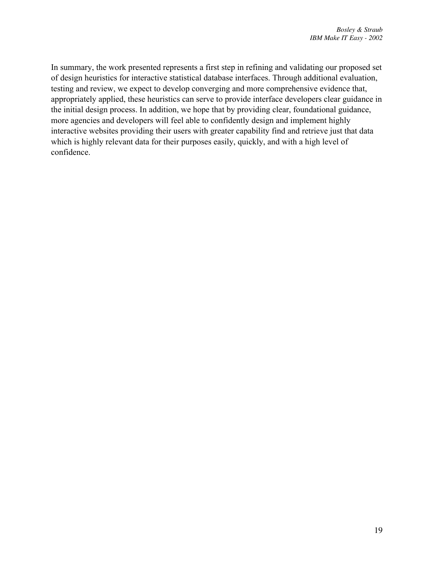In summary, the work presented represents a first step in refining and validating our proposed set of design heuristics for interactive statistical database interfaces. Through additional evaluation, testing and review, we expect to develop converging and more comprehensive evidence that, appropriately applied, these heuristics can serve to provide interface developers clear guidance in the initial design process. In addition, we hope that by providing clear, foundational guidance, more agencies and developers will feel able to confidently design and implement highly interactive websites providing their users with greater capability find and retrieve just that data which is highly relevant data for their purposes easily, quickly, and with a high level of confidence.